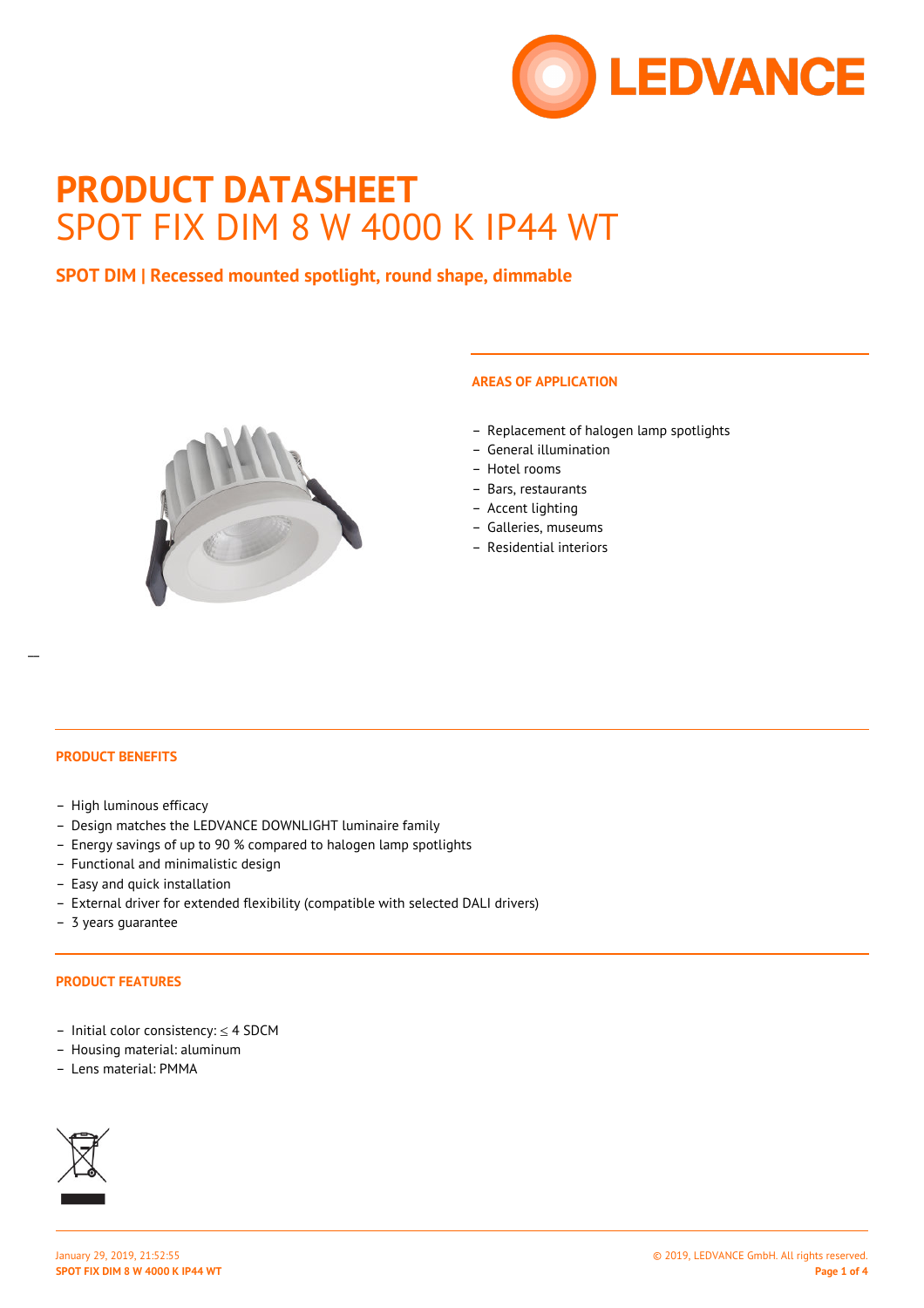

# **PRODUCT DATASHEET** SPOT FIX DIM 8 W 4000 K IP44 WT

## **SPOT DIM | Recessed mounted spotlight, round shape, dimmable**



## **AREAS OF APPLICATION**

- Replacement of halogen lamp spotlights
- General illumination
- Hotel rooms
- Bars, restaurants
- Accent lighting
- Galleries, museums
- Residential interiors

#### **PRODUCT BENEFITS**

- High luminous efficacy
- Design matches the LEDVANCE DOWNLIGHT luminaire family
- Energy savings of up to 90 % compared to halogen lamp spotlights
- Functional and minimalistic design
- Easy and quick installation
- External driver for extended flexibility (compatible with selected DALI drivers)
- 3 years guarantee

#### **PRODUCT FEATURES**

- Initial color consistency: ≤ 4 SDCM
- Housing material: aluminum
- Lens material: PMMA

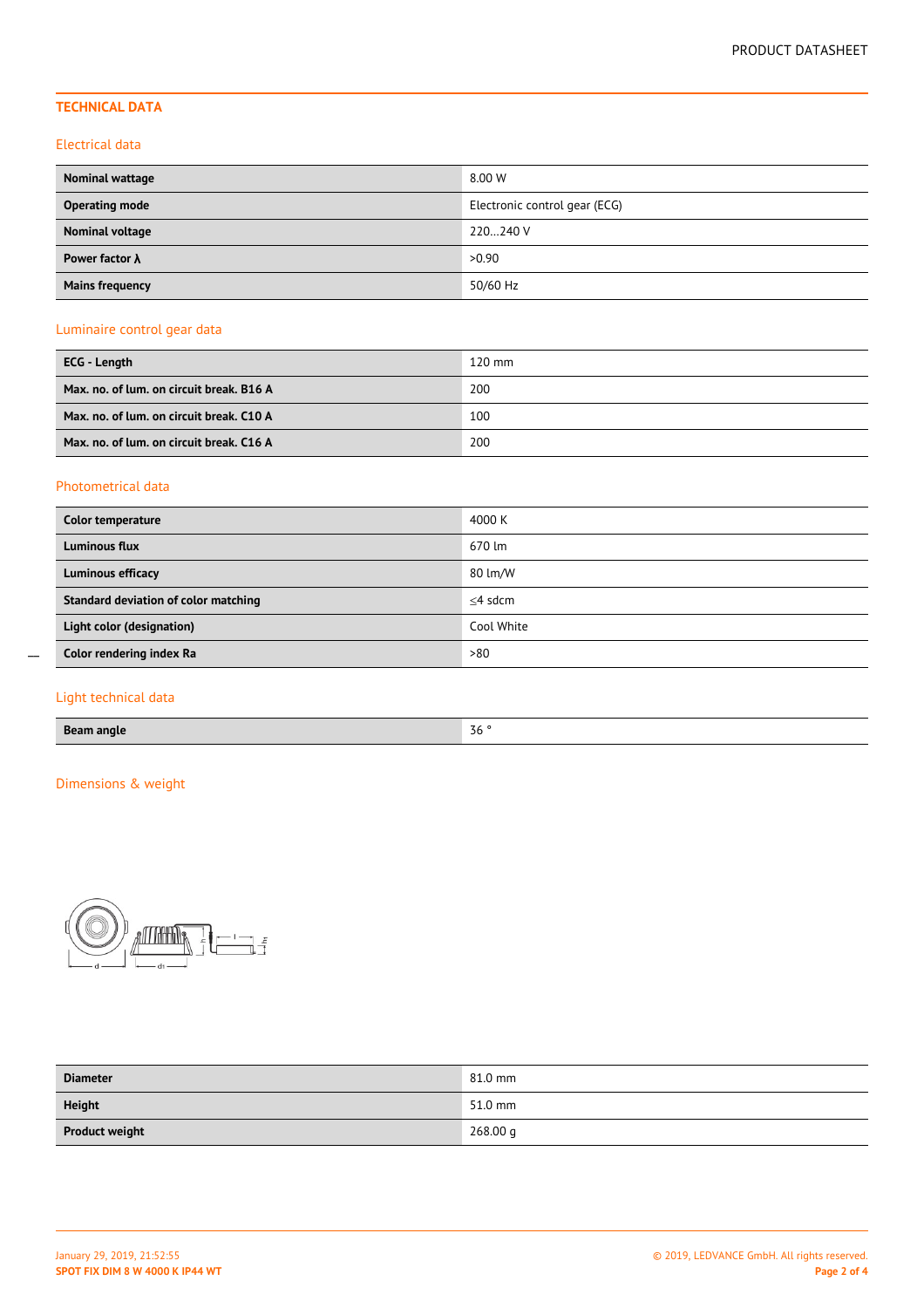## **TECHNICAL DATA**

#### Electrical data

| Nominal wattage        | 8.00 W                        |
|------------------------|-------------------------------|
| <b>Operating mode</b>  | Electronic control gear (ECG) |
| Nominal voltage        | 220240 V                      |
| Power factor $\lambda$ | >0.90                         |
| <b>Mains frequency</b> | 50/60 Hz                      |

## Luminaire control gear data

| ECG - Length                             | $120$ mm |
|------------------------------------------|----------|
| Max. no. of lum. on circuit break. B16 A | 200      |
| Max. no. of lum. on circuit break. C10 A | 100      |
| Max. no. of lum. on circuit break. C16 A | 200      |

## Photometrical data

| Color temperature                    | 4000 K     |
|--------------------------------------|------------|
| Luminous flux                        | 670 lm     |
| Luminous efficacy                    | 80 lm/W    |
| Standard deviation of color matching | $<$ 4 sdcm |
| Light color (designation)            | Cool White |
| Color rendering index Ra             | >80        |

## Light technical data

 $\overline{a}$ 

## Dimensions & weight



| <b>Diameter</b>       | 81.0 mm  |
|-----------------------|----------|
| <b>Height</b>         | 51.0 mm  |
| <b>Product weight</b> | 268.00 g |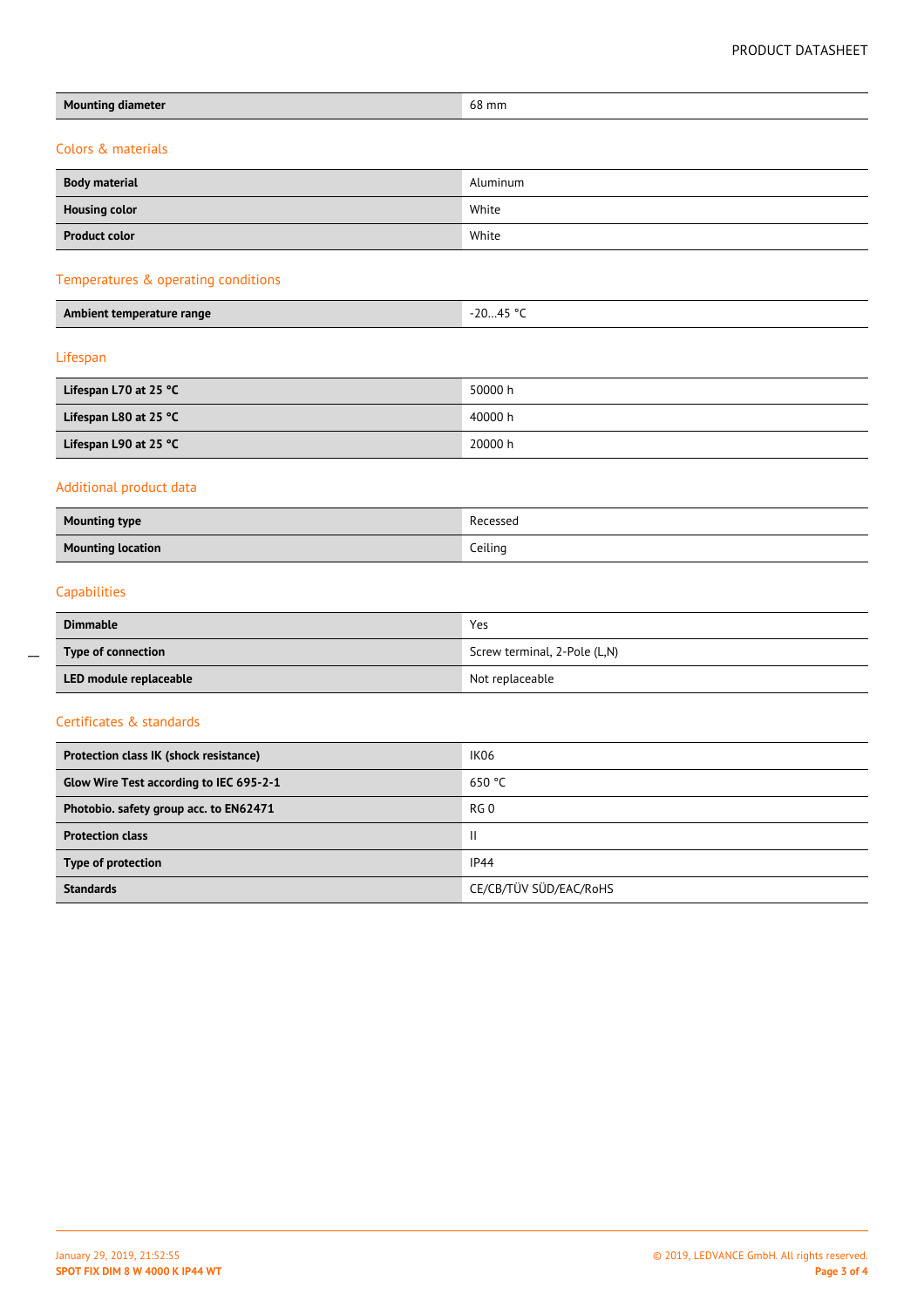| <b>Mounting diameter</b>                | 68 mm                        |  |  |  |  |
|-----------------------------------------|------------------------------|--|--|--|--|
| Colors & materials                      |                              |  |  |  |  |
|                                         |                              |  |  |  |  |
| <b>Body material</b>                    | Aluminum                     |  |  |  |  |
| <b>Housing color</b>                    | White                        |  |  |  |  |
| <b>Product color</b>                    | White                        |  |  |  |  |
| Temperatures & operating conditions     |                              |  |  |  |  |
| Ambient temperature range               | $-2045 °C$                   |  |  |  |  |
| Lifespan                                |                              |  |  |  |  |
| Lifespan L70 at 25 °C                   | 50000 h                      |  |  |  |  |
| Lifespan L80 at 25 °C                   | 40000 h                      |  |  |  |  |
| Lifespan L90 at 25 °C                   | 20000 h                      |  |  |  |  |
| Additional product data                 |                              |  |  |  |  |
| <b>Mounting type</b>                    | Recessed                     |  |  |  |  |
| <b>Mounting location</b>                | Ceiling                      |  |  |  |  |
| Capabilities                            |                              |  |  |  |  |
| <b>Dimmable</b>                         | Yes                          |  |  |  |  |
| Type of connection                      | Screw terminal, 2-Pole (L,N) |  |  |  |  |
| LED module replaceable                  | Not replaceable              |  |  |  |  |
| Certificates & standards                |                              |  |  |  |  |
| Protection class IK (shock resistance)  | IK06                         |  |  |  |  |
| Glow Wire Test according to IEC 695-2-1 | 650 °C                       |  |  |  |  |
| Photobio. safety group acc. to EN62471  | RG <sub>0</sub>              |  |  |  |  |
| <b>Protection class</b>                 | $\mathbf{II}$                |  |  |  |  |
| Type of protection                      | IP44                         |  |  |  |  |

 $\overline{a}$